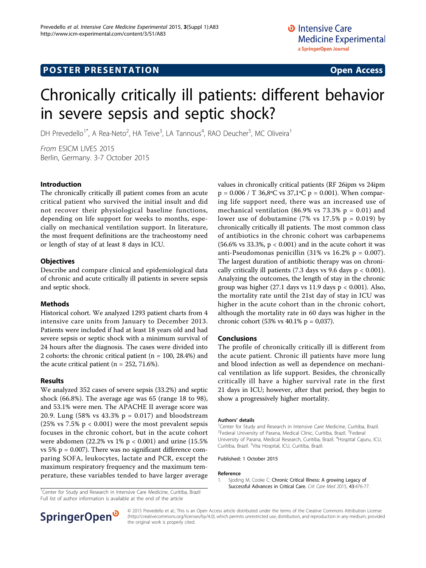# Chronically critically ill patients: different behavior in severe sepsis and septic shock?

DH Prevedello<sup>1\*</sup>, A Rea-Neto<sup>2</sup>, HA Teive<sup>3</sup>, LA Tannous<sup>4</sup>, RAO Deucher<sup>5</sup>, MC Oliveira<sup>1</sup>

From ESICM LIVES 2015 Berlin, Germany. 3-7 October 2015

#### Introduction

The chronically critically ill patient comes from an acute critical patient who survived the initial insult and did not recover their physiological baseline functions, depending on life support for weeks to months, especially on mechanical ventilation support. In literature, the most frequent definitions are the tracheostomy need or length of stay of at least 8 days in ICU.

### **Objectives**

Describe and compare clinical and epidemiological data of chronic and acute critically ill patients in severe sepsis and septic shock.

#### Methods

Historical cohort. We analyzed 1293 patient charts from 4 intensive care units from January to December 2013. Patients were included if had at least 18 years old and had severe sepsis or septic shock with a minimum survival of 24 hours after the diagnosis. The cases were divided into 2 cohorts: the chronic critical patient ( $n = 100, 28.4\%$ ) and the acute critical patient ( $n = 252, 71.6\%$ ).

#### Results

We analyzed 352 cases of severe sepsis (33.2%) and septic shock (66.8%). The average age was 65 (range 18 to 98), and 53.1% were men. The APACHE II average score was 20.9. Lung (58% vs 43.3%  $p = 0.017$ ) and bloodstream (25% vs  $7.5\%$  p < 0.001) were the most prevalent sepsis focuses in the chronic cohort, but in the acute cohort were abdomen (22.2% vs  $1\%$  p < 0.001) and urine (15.5% vs  $5\%$  p = 0.007). There was no significant difference comparing SOFA, leukocytes, lactate and PCR, except the maximum respiratory frequency and the maximum temperature, these variables tended to have larger average

<sup>1</sup> Center for Study and Research in Intensive Care Medicine, Curitiba, Brazil Full list of author information is available at the end of the article

values in chronically critical patients (RF 26ipm vs 24ipm  $p = 0.006 / T$  36,8°C vs 37,1°C  $p = 0.001$ ). When comparing life support need, there was an increased use of mechanical ventilation (86.9% vs  $73.3\%$  p = 0.01) and lower use of dobutamine (7% vs  $17.5\%$  p = 0.019) by chronically critically ill patients. The most common class of antibiotics in the chronic cohort was carbapenems (56.6% vs 33.3%,  $p < 0.001$ ) and in the acute cohort it was anti-Pseudomonas penicillin  $(31\% \text{ vs } 16.2\% \text{ p} = 0.007)$ . The largest duration of antibiotic therapy was on chronically critically ill patients (7.3 days vs 9.6 days  $p < 0.001$ ). Analyzing the outcomes, the length of stay in the chronic group was higher  $(27.1$  days vs 11.9 days  $p < 0.001$ ). Also, the mortality rate until the 21st day of stay in ICU was higher in the acute cohort than in the chronic cohort, although the mortality rate in 60 days was higher in the chronic cohort (53% vs 40.1% p = 0,037).

#### Conclusions

The profile of chronically critically ill is different from the acute patient. Chronic ill patients have more lung and blood infection as well as dependence on mechanical ventilation as life support. Besides, the chronically critically ill have a higher survival rate in the first 21 days in ICU; however, after that period, they begin to show a progressively higher mortality.

#### Authors' details <sup>1</sup>

<sup>1</sup>Center for Study and Research in Intensive Care Medicine, Curitiba, Brazil. <sup>2</sup>Federal University of Parana, Medical Clinic, Curitiba, Brazil. <sup>3</sup>Federal University of Parana, Medical Research, Curitiba, Brazil. <sup>4</sup>Hospital Cajuru, ICU Curitiba, Brazil. <sup>5</sup>Vita Hospital, ICU, Curitiba, Brazil.

Published: 1 October 2015

#### Reference

1. Sjoding M, Cooke C: [Chronic Critical Illness: A growing Legacy of](http://www.ncbi.nlm.nih.gov/pubmed/25599471?dopt=Abstract) [Successful Advances in Critical Care.](http://www.ncbi.nlm.nih.gov/pubmed/25599471?dopt=Abstract) Crit Care Med 2015, 43:476-77.



© 2015 Prevedello et al.; This is an Open Access article distributed under the terms of the Creative Commons Attribution License [\(http://creativecommons.org/licenses/by/4.0](http://creativecommons.org/licenses/by/4.0)), which permits unrestricted use, distribution, and reproduction in any medium, provided the original work is properly cited.